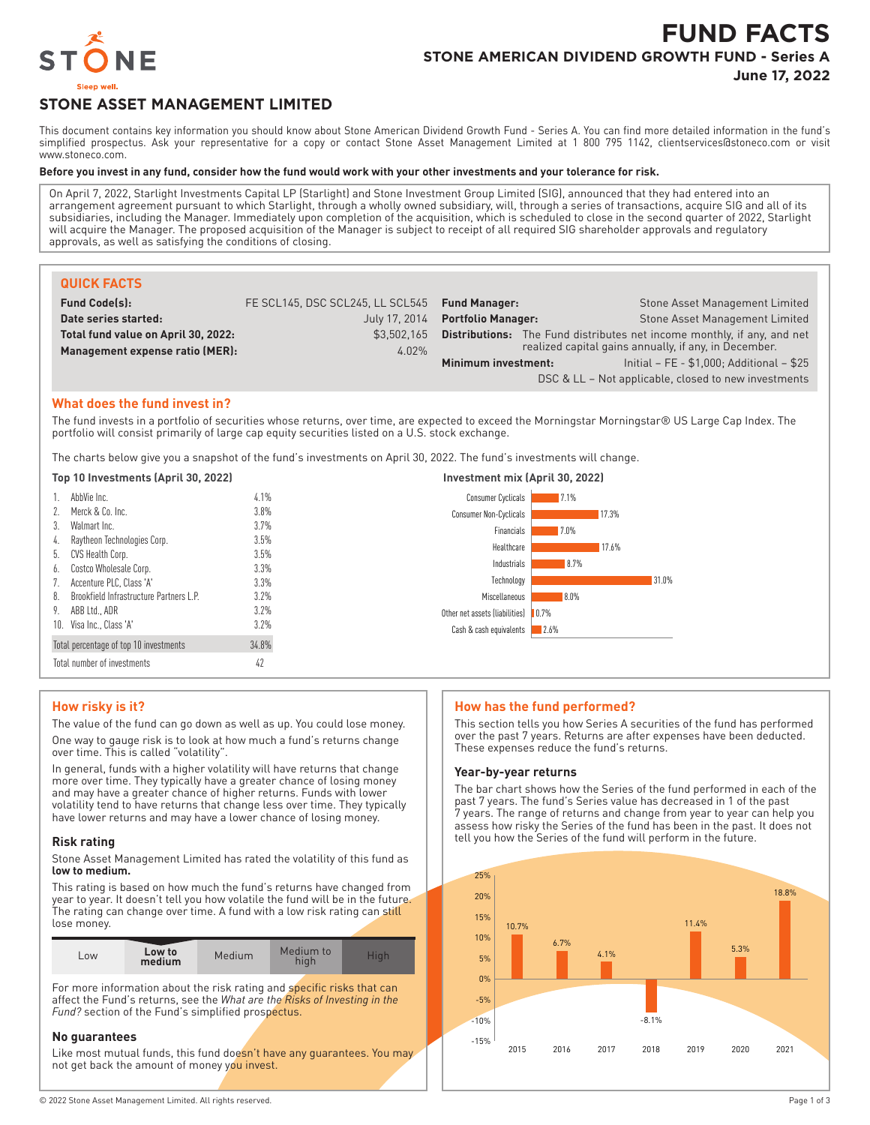

# **FUND FACTS STONE AMERICAN DIVIDEND GROWTH FUND - Series A**

**June 17, 2022**

# **STONE ASSET MANAGEMENT LIMITED**

This document contains key information you should know about Stone American Dividend Growth Fund - Series A. You can find more detailed information in the fund's simplified prospectus. Ask your representative for a copy or contact Stone Asset Management Limited at 1 800 795 1142, clientservices@stoneco.com or visit www.stoneco.com.

#### **Before you invest in any fund, consider how the fund would work with your other investments and your tolerance for risk.**

On April 7, 2022, Starlight Investments Capital LP (Starlight) and Stone Investment Group Limited (SIG), announced that they had entered into an arrangement agreement pursuant to which Starlight, through a wholly owned subsidiary, will, through a series of transactions, acquire SIG and all of its subsidiaries, including the Manager. Immediately upon completion of the acquisition, which is scheduled to close in the second quarter of 2022, Starlight will acquire the Manager. The proposed acquisition of the Manager is subject to receipt of all required SIG shareholder approvals and regulatory approvals, as well as satisfying the conditions of closing.

| <b>QUICK FACTS</b>                  |                                                |                                  |                                                                                |
|-------------------------------------|------------------------------------------------|----------------------------------|--------------------------------------------------------------------------------|
| <b>Fund Code(s):</b>                | FE SCL145, DSC SCL245, LL SCL545 Fund Manager: |                                  | <b>Stone Asset Management Limited</b>                                          |
| Date series started:                |                                                | July 17, 2014 Portfolio Manager: | Stone Asset Management Limited                                                 |
| Total fund value on April 30, 2022: | \$3.502.165                                    |                                  | <b>Distributions:</b> The Fund distributes net income monthly, if any, and net |
| Management expense ratio (MER):     | $4.02\%$                                       |                                  | realized capital gains annually, if any, in December.                          |
|                                     |                                                | Minimum investment:              | Initial - FE - \$1,000; Additional - \$25                                      |

# **What does the fund invest in?**

The fund invests in a portfolio of securities whose returns, over time, are expected to exceed the Morningstar Morningstar® US Large Cap Index. The portfolio will consist primarily of large cap equity securities listed on a U.S. stock exchange.

The charts below give you a snapshot of the fund's investments on April 30, 2022. The fund's investments will change.

| Top 10 Investments (April 30, 2022)                  |       | Investment mix (April 30, 2022)                       |  |
|------------------------------------------------------|-------|-------------------------------------------------------|--|
| AbbVie Inc.                                          | 4.1%  | <b>Consumer Cyclicals</b><br>17.1%                    |  |
| Merck & Co. Inc.                                     | 3.8%  | <b>Consumer Non-Cyclicals</b><br>17.3%                |  |
| Walmart Inc.<br>3.                                   | 3.7%  | Financials<br>$17.0\%$                                |  |
| Raytheon Technologies Corp.<br>4.                    | 3.5%  | Healthcare<br>17.6%                                   |  |
| CVS Health Corp.<br>5.                               | 3.5%  |                                                       |  |
| Costco Wholesale Corp.<br>6.                         | 3.3%  | 8.7%<br>Industrials                                   |  |
| Accenture PLC, Class 'A'                             | 3.3%  | 31.0%<br>Technology                                   |  |
| <b>Brookfield Infrastructure Partners L.P.</b><br>8. | 3.2%  | 8.0%<br>Miscellaneous                                 |  |
| 9.<br>ABB Ltd., ADR                                  | 3.2%  | Other net assets (liabilities)<br>$\blacksquare$ 0.7% |  |
| 10. Visa Inc., Class 'A'                             | 3.2%  | Cash & cash equivalents<br>2.6%                       |  |
| Total percentage of top 10 investments               | 34.8% |                                                       |  |
| Total number of investments                          | 42    |                                                       |  |

# **How risky is it?**

The value of the fund can go down as well as up. You could lose money. One way to gauge risk is to look at how much a fund's returns change over time. This is called "volatility".

In general, funds with a higher volatility will have returns that change more over time. They typically have a greater chance of losing money and may have a greater chance of higher returns. Funds with lower volatility tend to have returns that change less over time. They typically have lower returns and may have a lower chance of losing money.

# **Risk rating**

Stone Asset Management Limited has rated the volatility of this fund as **low to medium.**

This rating is based on how much the fund's returns have changed from year to year. It doesn't tell you how volatile the fund will be in the future. The rating can change over time. A fund with a low risk rating can still lose money.

| Low to<br>LOW<br>medium | Medium | Medium to<br>hiah | Hiah |
|-------------------------|--------|-------------------|------|
|-------------------------|--------|-------------------|------|

For more information about the risk rating and specific risks that can affect the Fund's returns, see the *What are the Risks of Investing in the Fund?* section of the Fund's simplified prospectus.

# **No guarantees**

Like most mutual funds, this fund doesn't have any quarantees. You may not get back the amount of money you invest.

# **How has the fund performed?**

This section tells you how Series A securities of the fund has performed over the past 7 years. Returns are after expenses have been deducted. These expenses reduce the fund's returns.

DSC & LL – Not applicable, closed to new investments

## **Year-by-year returns**

The bar chart shows how the Series of the fund performed in each of the past 7 years. The fund's Series value has decreased in 1 of the past 7 years. The range of returns and change from year to year can help you assess how risky the Series of the fund has been in the past. It does not tell you how the Series of the fund will perform in the future.

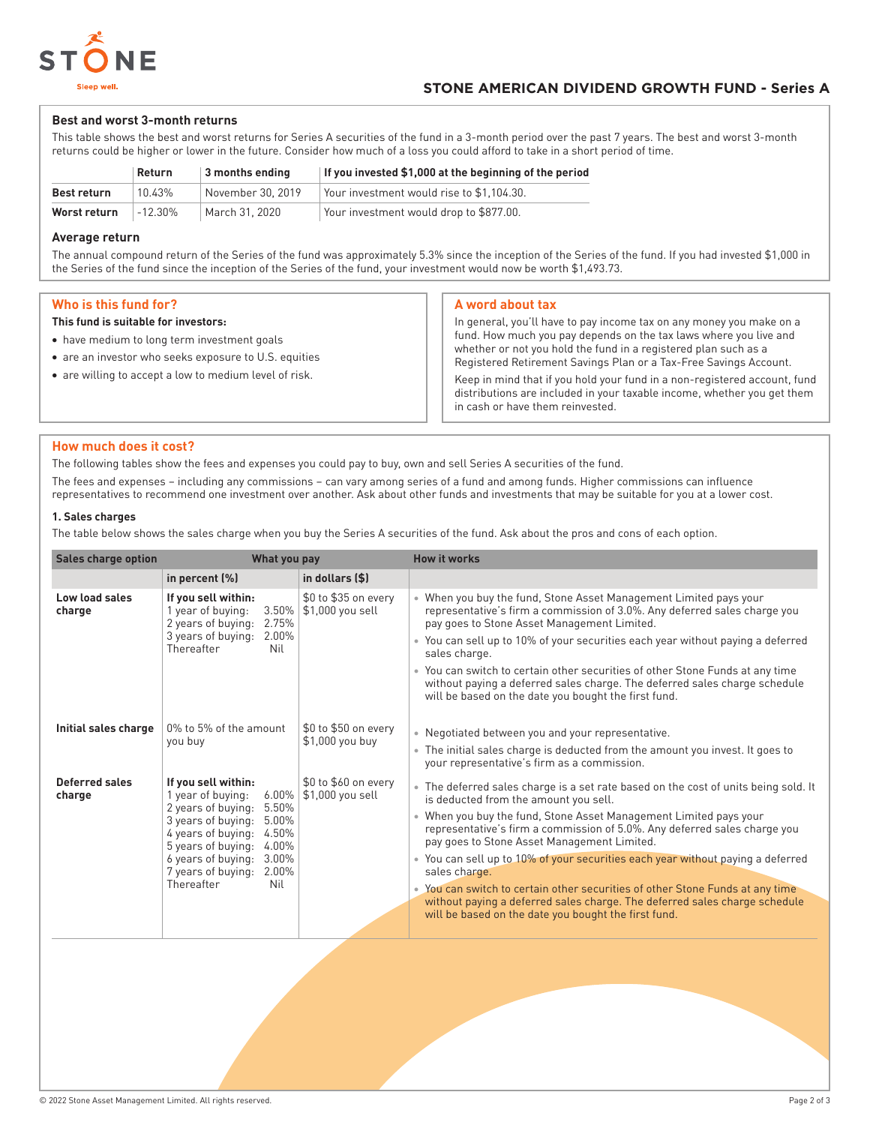

# **Best and worst 3-month returns**

This table shows the best and worst returns for Series A securities of the fund in a 3-month period over the past 7 years. The best and worst 3-month returns could be higher or lower in the future. Consider how much of a loss you could afford to take in a short period of time.

|              | Return    | $\vert$ 3 months ending | If you invested \$1,000 at the beginning of the period |
|--------------|-----------|-------------------------|--------------------------------------------------------|
| Best return  | 10.43%    | November 30, 2019       | Your investment would rise to \$1.104.30.              |
| Worst return | $-12.30%$ | March 31, 2020          | Your investment would drop to \$877.00.                |

#### **Average return**

The annual compound return of the Series of the fund was approximately 5.3% since the inception of the Series of the fund. If you had invested \$1,000 in the Series of the fund since the inception of the Series of the fund, your investment would now be worth \$1,493.73.

# **Who is this fund for?**

#### **This fund is suitable for investors:**

- have medium to long term investment goals
- are an investor who seeks exposure to U.S. equities
- are willing to accept a low to medium level of risk.

#### **A word about tax**

In general, you'll have to pay income tax on any money you make on a fund. How much you pay depends on the tax laws where you live and whether or not you hold the fund in a registered plan such as a Registered Retirement Savings Plan or a Tax-Free Savings Account. Keep in mind that if you hold your fund in a non-registered account, fund

distributions are included in your taxable income, whether you get them in cash or have them reinvested.

# **How much does it cost?**

The following tables show the fees and expenses you could pay to buy, own and sell Series A securities of the fund.

The fees and expenses – including any commissions – can vary among series of a fund and among funds. Higher commissions can influence representatives to recommend one investment over another. Ask about other funds and investments that may be suitable for you at a lower cost.

# **1. Sales charges**

The table below shows the sales charge when you buy the Series A securities of the fund. Ask about the pros and cons of each option.

| <b>Sales charge option</b> | What you pay                                                                                                                                                                                                                                                        |                                           | <b>How it works</b>                                                                                                                                                                                                                                                                                                                                                                                                                                                                                                                                                                                                                                      |
|----------------------------|---------------------------------------------------------------------------------------------------------------------------------------------------------------------------------------------------------------------------------------------------------------------|-------------------------------------------|----------------------------------------------------------------------------------------------------------------------------------------------------------------------------------------------------------------------------------------------------------------------------------------------------------------------------------------------------------------------------------------------------------------------------------------------------------------------------------------------------------------------------------------------------------------------------------------------------------------------------------------------------------|
|                            | in percent (%)                                                                                                                                                                                                                                                      | in dollars (\$)                           |                                                                                                                                                                                                                                                                                                                                                                                                                                                                                                                                                                                                                                                          |
| Low load sales<br>charge   | If you sell within:<br>1 year of buying:<br>3.50%<br>2 years of buying:<br>2.75%<br>3 years of buying:<br>2.00%<br>Thereafter<br>Nil                                                                                                                                | \$0 to \$35 on every<br>\$1,000 you sell  | • When you buy the fund, Stone Asset Management Limited pays your<br>representative's firm a commission of 3.0%. Any deferred sales charge you<br>pay goes to Stone Asset Management Limited.<br>• You can sell up to 10% of your securities each year without paying a deferred<br>sales charge.<br>• You can switch to certain other securities of other Stone Funds at any time<br>without paying a deferred sales charge. The deferred sales charge schedule<br>will be based on the date you bought the first fund.                                                                                                                                 |
| Initial sales charge       | 0% to 5% of the amount<br>you buy                                                                                                                                                                                                                                   | $$0$ to $$50$ on every<br>\$1,000 you buy | • Negotiated between you and your representative.<br>• The initial sales charge is deducted from the amount you invest. It goes to<br>your representative's firm as a commission.                                                                                                                                                                                                                                                                                                                                                                                                                                                                        |
| Deferred sales<br>charge   | If you sell within:<br>$6.00\%$<br>1 year of buying:<br>2 years of buying:<br>5.50%<br>5.00%<br>3 years of buying:<br>4 years of buying:<br>4.50%<br>5 years of buying:<br>4.00%<br>6 years of buying:<br>3.00%<br>7 years of buying:<br>2.00%<br>Thereafter<br>Nil | \$0 to \$60 on every<br>\$1,000 you sell  | • The deferred sales charge is a set rate based on the cost of units being sold. It<br>is deducted from the amount you sell.<br>• When you buy the fund, Stone Asset Management Limited pays your<br>representative's firm a commission of 5.0%. Any deferred sales charge you<br>pay goes to Stone Asset Management Limited.<br>• You can sell up to 10% of your securities each year without paying a deferred<br>sales charge.<br>• You can switch to certain other securities of other Stone Funds at any time<br>without paying a deferred sales charge. The deferred sales charge schedule<br>will be based on the date you bought the first fund. |